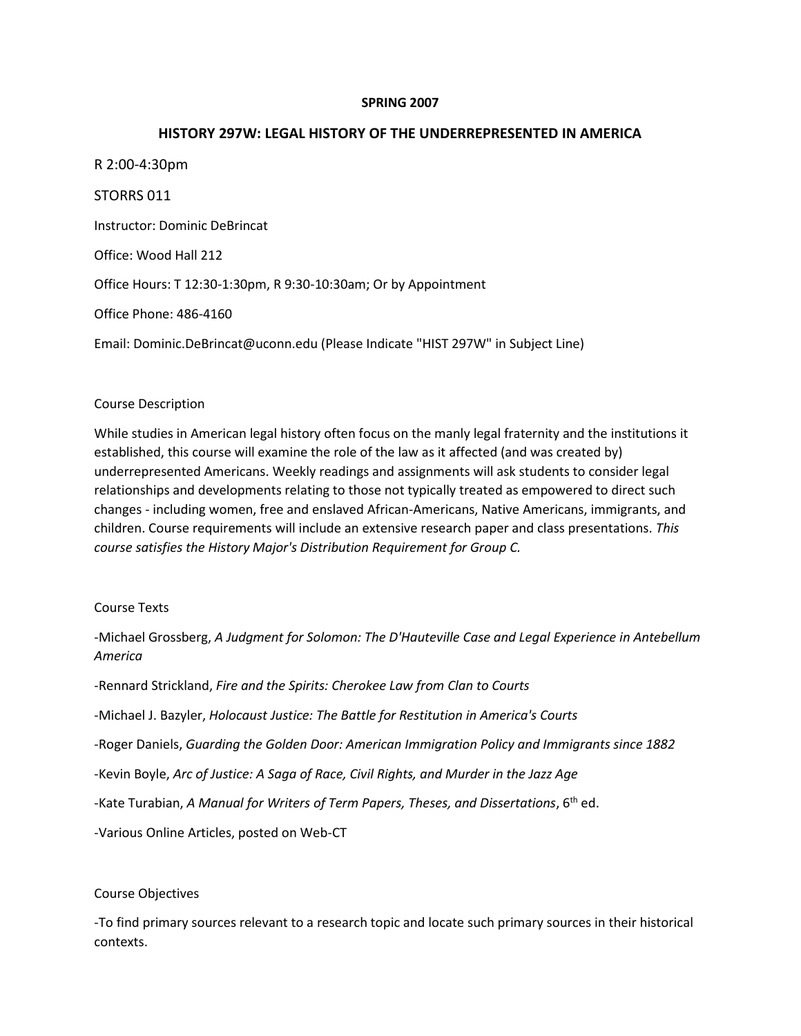### **SPRING 2007**

### **HISTORY 297W: LEGAL HISTORY OF THE UNDERREPRESENTED IN AMERICA**

R 2:00-4:30pm STORRS 011 Instructor: Dominic DeBrincat Office: Wood Hall 212 Office Hours: T 12:30-1:30pm, R 9:30-10:30am; Or by Appointment Office Phone: 486-4160 Email: Dominic.DeBrincat@uconn.edu (Please Indicate "HIST 297W" in Subject Line)

### Course Description

While studies in American legal history often focus on the manly legal fraternity and the institutions it established, this course will examine the role of the law as it affected (and was created by) underrepresented Americans. Weekly readings and assignments will ask students to consider legal relationships and developments relating to those not typically treated as empowered to direct such changes - including women, free and enslaved African-Americans, Native Americans, immigrants, and children. Course requirements will include an extensive research paper and class presentations. *This course satisfies the History Major's Distribution Requirement for Group C.*

### Course Texts

-Michael Grossberg, *A Judgment for Solomon: The D'Hauteville Case and Legal Experience in Antebellum America*

-Rennard Strickland, *Fire and the Spirits: Cherokee Law from Clan to Courts* -Michael J. Bazyler, *Holocaust Justice: The Battle for Restitution in America's Courts* -Roger Daniels, *Guarding the Golden Door: American Immigration Policy and Immigrants since 1882* -Kevin Boyle, *Arc of Justice: A Saga of Race, Civil Rights, and Murder in the Jazz Age* -Kate Turabian, *A Manual for Writers of Term Papers, Theses, and Dissertations*, 6th ed. -Various Online Articles, posted on Web-CT

### Course Objectives

-To find primary sources relevant to a research topic and locate such primary sources in their historical contexts.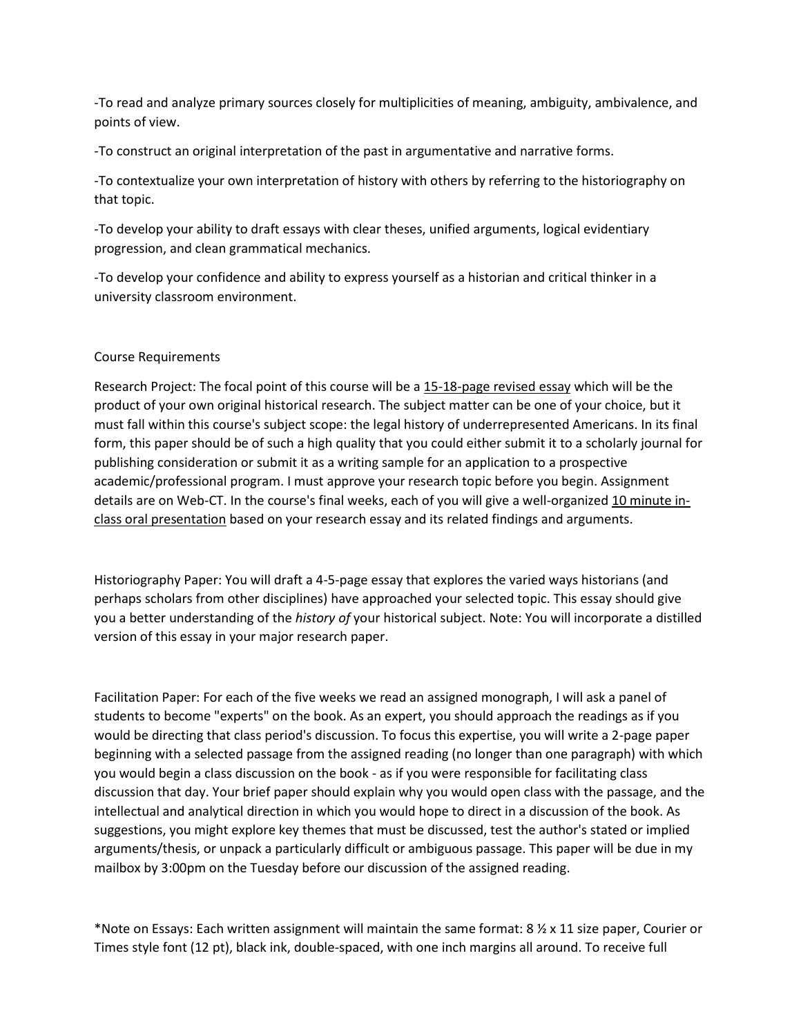-To read and analyze primary sources closely for multiplicities of meaning, ambiguity, ambivalence, and points of view.

-To construct an original interpretation of the past in argumentative and narrative forms.

-To contextualize your own interpretation of history with others by referring to the historiography on that topic.

-To develop your ability to draft essays with clear theses, unified arguments, logical evidentiary progression, and clean grammatical mechanics.

-To develop your confidence and ability to express yourself as a historian and critical thinker in a university classroom environment.

# Course Requirements

Research Project: The focal point of this course will be a 15-18-page revised essay which will be the product of your own original historical research. The subject matter can be one of your choice, but it must fall within this course's subject scope: the legal history of underrepresented Americans. In its final form, this paper should be of such a high quality that you could either submit it to a scholarly journal for publishing consideration or submit it as a writing sample for an application to a prospective academic/professional program. I must approve your research topic before you begin. Assignment details are on Web-CT. In the course's final weeks, each of you will give a well-organized 10 minute inclass oral presentation based on your research essay and its related findings and arguments.

Historiography Paper: You will draft a 4-5-page essay that explores the varied ways historians (and perhaps scholars from other disciplines) have approached your selected topic. This essay should give you a better understanding of the *history of* your historical subject. Note: You will incorporate a distilled version of this essay in your major research paper.

Facilitation Paper: For each of the five weeks we read an assigned monograph, I will ask a panel of students to become "experts" on the book. As an expert, you should approach the readings as if you would be directing that class period's discussion. To focus this expertise, you will write a 2-page paper beginning with a selected passage from the assigned reading (no longer than one paragraph) with which you would begin a class discussion on the book - as if you were responsible for facilitating class discussion that day. Your brief paper should explain why you would open class with the passage, and the intellectual and analytical direction in which you would hope to direct in a discussion of the book. As suggestions, you might explore key themes that must be discussed, test the author's stated or implied arguments/thesis, or unpack a particularly difficult or ambiguous passage. This paper will be due in my mailbox by 3:00pm on the Tuesday before our discussion of the assigned reading.

\*Note on Essays: Each written assignment will maintain the same format: 8 ½ x 11 size paper, Courier or Times style font (12 pt), black ink, double-spaced, with one inch margins all around. To receive full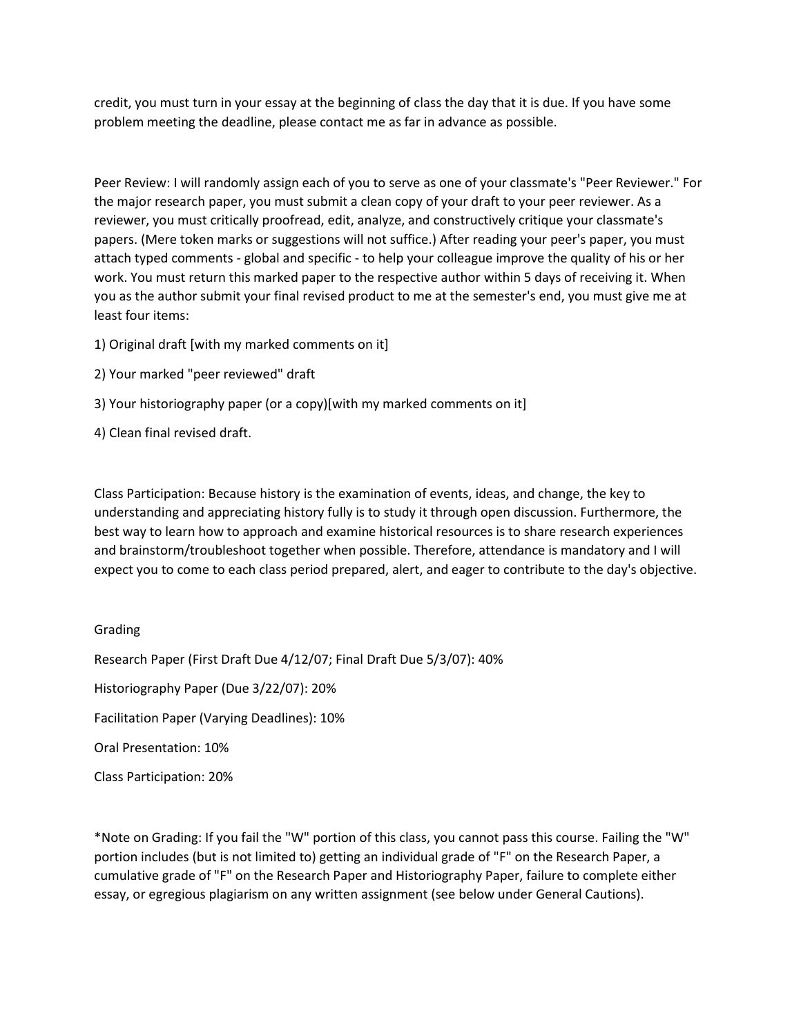credit, you must turn in your essay at the beginning of class the day that it is due. If you have some problem meeting the deadline, please contact me as far in advance as possible.

Peer Review: I will randomly assign each of you to serve as one of your classmate's "Peer Reviewer." For the major research paper, you must submit a clean copy of your draft to your peer reviewer. As a reviewer, you must critically proofread, edit, analyze, and constructively critique your classmate's papers. (Mere token marks or suggestions will not suffice.) After reading your peer's paper, you must attach typed comments - global and specific - to help your colleague improve the quality of his or her work. You must return this marked paper to the respective author within 5 days of receiving it. When you as the author submit your final revised product to me at the semester's end, you must give me at least four items:

- 1) Original draft [with my marked comments on it]
- 2) Your marked "peer reviewed" draft
- 3) Your historiography paper (or a copy)[with my marked comments on it]

4) Clean final revised draft.

Class Participation: Because history is the examination of events, ideas, and change, the key to understanding and appreciating history fully is to study it through open discussion. Furthermore, the best way to learn how to approach and examine historical resources is to share research experiences and brainstorm/troubleshoot together when possible. Therefore, attendance is mandatory and I will expect you to come to each class period prepared, alert, and eager to contribute to the day's objective.

# Grading

Research Paper (First Draft Due 4/12/07; Final Draft Due 5/3/07): 40% Historiography Paper (Due 3/22/07): 20% Facilitation Paper (Varying Deadlines): 10% Oral Presentation: 10% Class Participation: 20%

\*Note on Grading: If you fail the "W" portion of this class, you cannot pass this course. Failing the "W" portion includes (but is not limited to) getting an individual grade of "F" on the Research Paper, a cumulative grade of "F" on the Research Paper and Historiography Paper, failure to complete either essay, or egregious plagiarism on any written assignment (see below under General Cautions).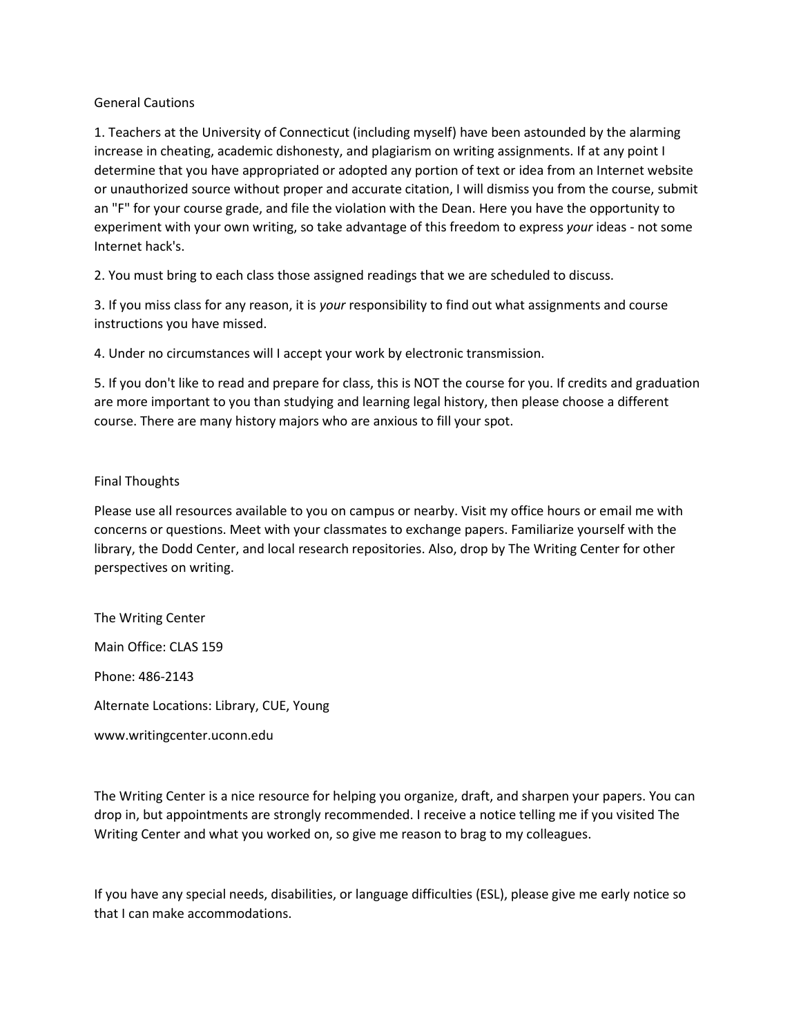## General Cautions

1. Teachers at the University of Connecticut (including myself) have been astounded by the alarming increase in cheating, academic dishonesty, and plagiarism on writing assignments. If at any point I determine that you have appropriated or adopted any portion of text or idea from an Internet website or unauthorized source without proper and accurate citation, I will dismiss you from the course, submit an "F" for your course grade, and file the violation with the Dean. Here you have the opportunity to experiment with your own writing, so take advantage of this freedom to express *your* ideas - not some Internet hack's.

2. You must bring to each class those assigned readings that we are scheduled to discuss.

3. If you miss class for any reason, it is *your* responsibility to find out what assignments and course instructions you have missed.

4. Under no circumstances will I accept your work by electronic transmission.

5. If you don't like to read and prepare for class, this is NOT the course for you. If credits and graduation are more important to you than studying and learning legal history, then please choose a different course. There are many history majors who are anxious to fill your spot.

### Final Thoughts

Please use all resources available to you on campus or nearby. Visit my office hours or email me with concerns or questions. Meet with your classmates to exchange papers. Familiarize yourself with the library, the Dodd Center, and local research repositories. Also, drop by The Writing Center for other perspectives on writing.

The Writing Center

Main Office: CLAS 159

Phone: 486-2143

Alternate Locations: Library, CUE, Young

www.writingcenter.uconn.edu

The Writing Center is a nice resource for helping you organize, draft, and sharpen your papers. You can drop in, but appointments are strongly recommended. I receive a notice telling me if you visited The Writing Center and what you worked on, so give me reason to brag to my colleagues.

If you have any special needs, disabilities, or language difficulties (ESL), please give me early notice so that I can make accommodations.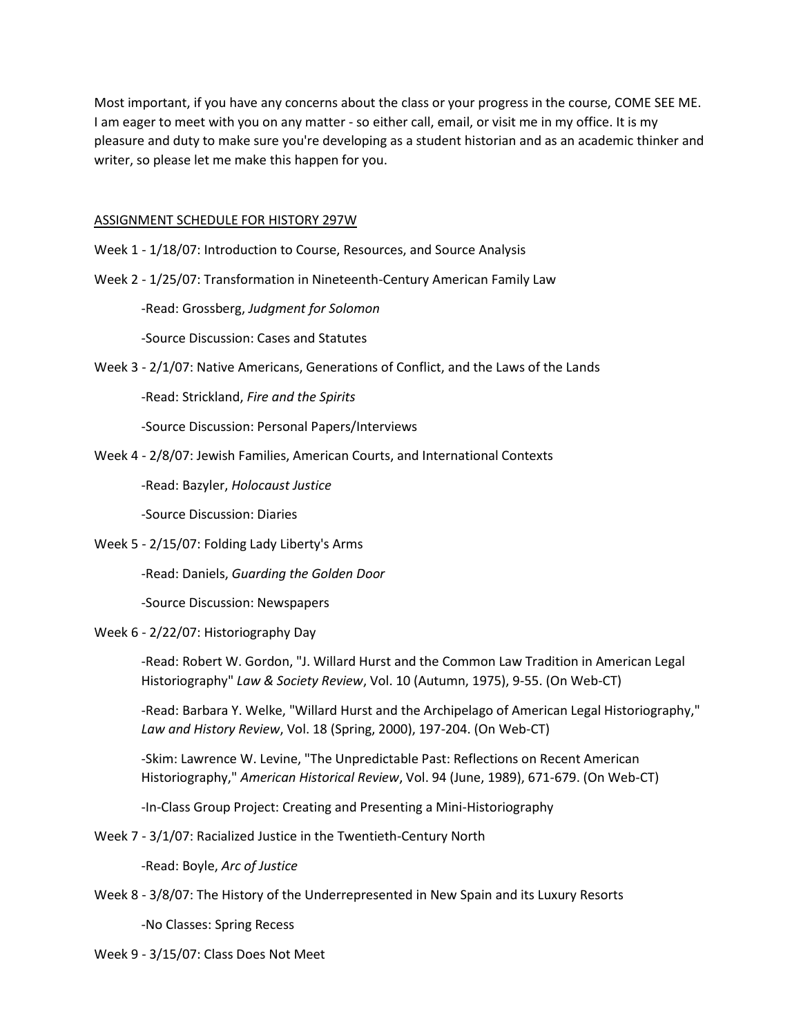Most important, if you have any concerns about the class or your progress in the course, COME SEE ME. I am eager to meet with you on any matter - so either call, email, or visit me in my office. It is my pleasure and duty to make sure you're developing as a student historian and as an academic thinker and writer, so please let me make this happen for you.

### ASSIGNMENT SCHEDULE FOR HISTORY 297W

- Week 1 1/18/07: Introduction to Course, Resources, and Source Analysis
- Week 2 1/25/07: Transformation in Nineteenth-Century American Family Law

-Read: Grossberg, *Judgment for Solomon*

-Source Discussion: Cases and Statutes

Week 3 - 2/1/07: Native Americans, Generations of Conflict, and the Laws of the Lands

-Read: Strickland, *Fire and the Spirits*

-Source Discussion: Personal Papers/Interviews

Week 4 - 2/8/07: Jewish Families, American Courts, and International Contexts

-Read: Bazyler, *Holocaust Justice*

-Source Discussion: Diaries

Week 5 - 2/15/07: Folding Lady Liberty's Arms

-Read: Daniels, *Guarding the Golden Door*

-Source Discussion: Newspapers

#### Week 6 - 2/22/07: Historiography Day

-Read: Robert W. Gordon, "J. Willard Hurst and the Common Law Tradition in American Legal Historiography" *Law & Society Review*, Vol. 10 (Autumn, 1975), 9-55. (On Web-CT)

-Read: Barbara Y. Welke, "Willard Hurst and the Archipelago of American Legal Historiography," *Law and History Review*, Vol. 18 (Spring, 2000), 197-204. (On Web-CT)

-Skim: Lawrence W. Levine, "The Unpredictable Past: Reflections on Recent American Historiography," *American Historical Review*, Vol. 94 (June, 1989), 671-679. (On Web-CT)

-In-Class Group Project: Creating and Presenting a Mini-Historiography

Week 7 - 3/1/07: Racialized Justice in the Twentieth-Century North

-Read: Boyle, *Arc of Justice*

Week 8 - 3/8/07: The History of the Underrepresented in New Spain and its Luxury Resorts

-No Classes: Spring Recess

Week 9 - 3/15/07: Class Does Not Meet